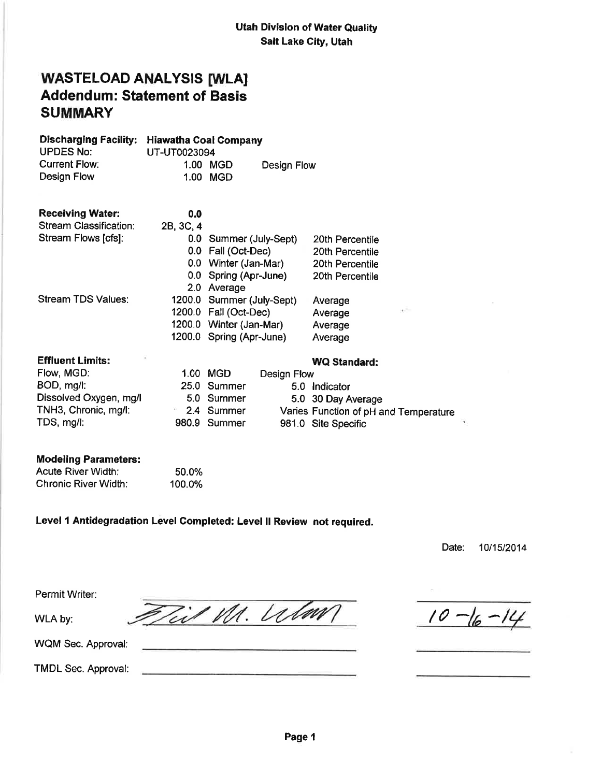## WASTELOAD ANALYSIS [WLA] Addendum: Statement of Basis **SUMMARY**

| <b>Discharging Facility:</b><br><b>UPDES No:</b> | <b>Hiawatha Coal Company</b><br>UT-UT0023094 |                           |             |                                       |
|--------------------------------------------------|----------------------------------------------|---------------------------|-------------|---------------------------------------|
| <b>Current Flow:</b>                             |                                              | 1.00 MGD                  |             |                                       |
| Design Flow                                      |                                              | 1.00 MGD                  | Design Flow |                                       |
|                                                  |                                              |                           |             |                                       |
| <b>Receiving Water:</b>                          | 0.0                                          |                           |             |                                       |
| Stream Classification:                           | 2B, 3C, 4                                    |                           |             |                                       |
| Stream Flows [cfs]:                              |                                              | 0.0 Summer (July-Sept)    |             | 20th Percentile                       |
|                                                  |                                              | 0.0 Fall (Oct-Dec)        |             | 20th Percentile                       |
|                                                  |                                              | 0.0 Winter (Jan-Mar)      |             | 20th Percentile                       |
|                                                  |                                              | 0.0 Spring (Apr-June)     |             | 20th Percentile                       |
|                                                  |                                              | 2.0 Average               |             |                                       |
| Stream TDS Values:                               |                                              | 1200.0 Summer (July-Sept) |             | Average                               |
|                                                  |                                              | 1200.0 Fall (Oct-Dec)     |             | v.<br>Average                         |
|                                                  |                                              | 1200.0 Winter (Jan-Mar)   |             | Average                               |
|                                                  |                                              | 1200.0 Spring (Apr-June)  |             | Average                               |
| <b>Effluent Limits:</b>                          |                                              |                           |             | <b>WQ Standard:</b>                   |
| Flow, MGD:                                       |                                              | 1.00 MGD                  | Design Flow |                                       |
| BOD, mg/l:                                       |                                              | 25.0 Summer               |             | 5.0 Indicator                         |
| Dissolved Oxygen, mg/l                           |                                              | 5.0 Summer                |             | 5.0 30 Day Average                    |
| TNH3, Chronic, mg/l:                             | $\theta$ (                                   | 2.4 Summer                |             | Varies Function of pH and Temperature |
| TDS, mg/l:                                       |                                              | 980.9 Summer              |             | 981.0 Site Specific                   |
| <b>Modeling Parameters:</b>                      |                                              |                           |             |                                       |

#### Modeling Parameters:  $\overline{\phantom{0}}$   $\overline{\phantom{0}}$   $\overline{\phantom{0}}$   $\overline{\phantom{0}}$   $\overline{\phantom{0}}$   $\overline{\phantom{0}}$   $\overline{\phantom{0}}$   $\overline{\phantom{0}}$   $\overline{\phantom{0}}$   $\overline{\phantom{0}}$   $\overline{\phantom{0}}$   $\overline{\phantom{0}}$   $\overline{\phantom{0}}$   $\overline{\phantom{0}}$   $\overline{\phantom{0}}$   $\overline{\phantom{0}}$   $\overline{\phantom{0}}$   $\overline{\phantom{0}}$   $\overline{\$

| Acute River Width:   | 50.0%  |
|----------------------|--------|
| Chronic River Width: | 100.0% |

## Level 1 Antidegradation Level Completed: Level II Review not required.

Til M. Wlaw

Date: 10/15/2014

×.

Permit Writer:

WLA by:

WQM Sec. Approval:

TMDL Sec. Approval:

 $10 - 16 - 14$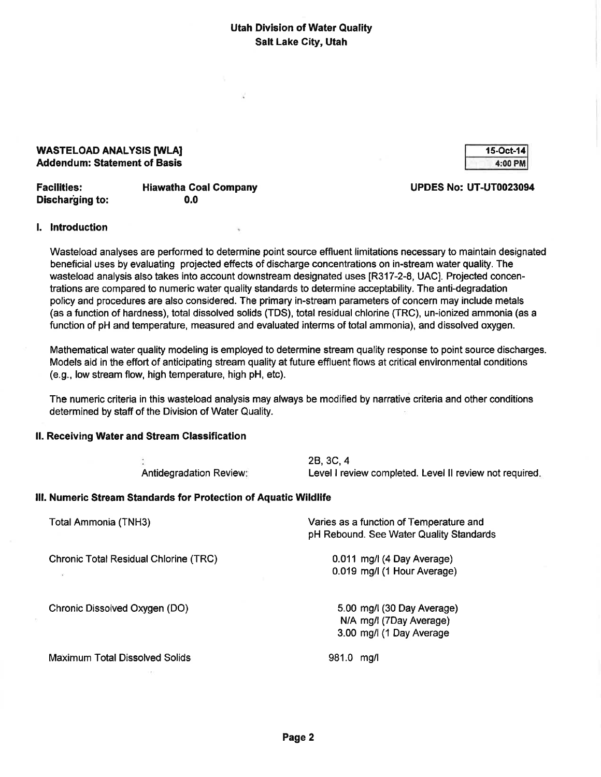#### WASTELOAD ANALYSIS [WLA] Addendum: Statement of Basis

| 15-Oct-141 |
|------------|
| 4:00 PM    |

| <b>Facilities:</b>     | <b>Hiawatha Coal Company</b> |
|------------------------|------------------------------|
| <b>Discharging to:</b> | 0.0                          |

#### UPDES No: UT-UT0023094

#### l. lntroduction

Wasteload analyses are performed to determine point source effluent limitations necessary to maintain designated benefícial uses by evaluating projected effects of discharge concentrations on in-stream water quality. The wasteload analysis also takes into account downstream designated uses [R317-2-8, UAC]. Projected concentrations are compared to numeric water quality standards to determine acceptability. The anti-degradation policy and procedures are also considered. The primary in-stream parameters of concern may include metals (as a function of hardness), total dissolved solids (TDS), total residual chlorine (TRC), un-ionized ammonia (as a function of pH and temperature, measured and evaluated interms of total ammonia), and dissolved oxygen.

Mathematical water quality modeling is employed to determine stream quality response to point source discharges. Models aid in the effort of anticipating stream quality at future effluent flows at critical environmental conditions (e.9., low stream flow, high temperature, high pH, etc).

The numeric criteria in this wasteload analysis may always be modified by narrative criteria and other conditions determined by staff of the Division of Water Quality.

#### ll. Receiving Water and Stream Glassification

Antidegradation Review 28,3C,4 Level I review completed. Level II review not required.

#### lll. Numeric Stream Standards for Protection of Aquatic Wildlife

| Total Ammonia (TNH3)                                                      | Varies as a function of Temperature and<br>pH Rebound. See Water Quality Standards |
|---------------------------------------------------------------------------|------------------------------------------------------------------------------------|
| <b>Chronic Total Residual Chlorine (TRC)</b><br>$\langle \vec{q} \rangle$ | 0.011 mg/l (4 Day Average)<br>0.019 mg/l (1 Hour Average)                          |
| Chronic Dissolved Oxygen (DO)                                             | 5.00 mg/l (30 Day Average)<br>N/A mg/l (7Day Average)<br>3.00 mg/l (1 Day Average  |
| Maximum Total Dissolved Solids                                            | 981.0<br>ma/l                                                                      |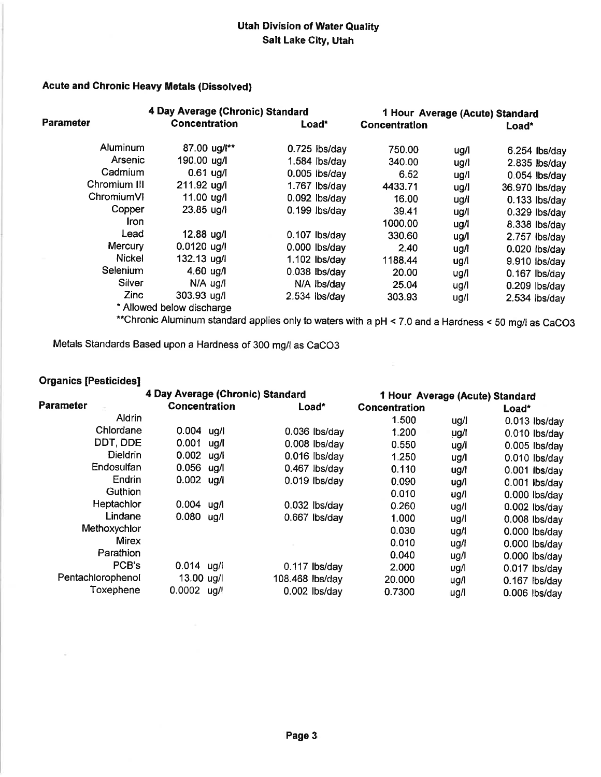### Acute and Chronic Heavy Metals (Dissolved)

|                  | 4 Day Average (Chronic) Standard | 1 Hour Average (Acute) Standard |                      |      |                 |
|------------------|----------------------------------|---------------------------------|----------------------|------|-----------------|
| <b>Parameter</b> | <b>Concentration</b>             | Load*                           | <b>Concentration</b> |      | Load*           |
| Aluminum         | 87.00 ug/l**                     | $0.725$ lbs/day                 | 750.00               | ug/l | $6.254$ lbs/day |
| Arsenic          | 190.00 ug/l                      | $1.584$ lbs/day                 | 340.00               | ug/l | $2.835$ lbs/day |
| Cadmium          | $0.61$ ug/                       | $0.005$ lbs/day                 | 6.52                 | ug/l | $0.054$ lbs/day |
| Chromium III     | 211.92 ug/l                      | $1.767$ lbs/day                 | 4433.71              | ug/l | 36.970 lbs/day  |
| ChromiumVI       | 11.00 ug/l                       | 0.092 lbs/day                   | 16.00                | ug/l | $0.133$ lbs/day |
| Copper           | $23.85 \text{ u}g/1$             | $0.199$ lbs/day                 | 39.41                | ug/l | $0.329$ lbs/day |
| Iron             |                                  |                                 | 1000.00              | ug/l | 8.338 lbs/day   |
| Lead             | 12.88 ug/l                       | $0.107$ lbs/day                 | 330.60               | ug/l | 2.757 lbs/day   |
| Mercury          | $0.0120$ ug/l                    | $0.000$ lbs/day                 | 2.40                 | ug/l | $0.020$ lbs/day |
| <b>Nickel</b>    | $132.13$ ug/l                    | $1.102$ lbs/day                 | 1188.44              | ug/l | 9.910 lbs/day   |
| Selenium         | 4.60 $\mu$ g/l                   | $0.038$ lbs/day                 | 20.00                | ug/l | $0.167$ lbs/day |
| Silver           | $N/A$ ug/ $\overline{I}$         | N/A lbs/day                     | 25.04                | ug/l | $0.209$ lbs/day |
| Zinc             | 303.93 ug/l                      | $2.534$ lbs/day                 | 303.93               | ug/l | $2.534$ lbs/day |
|                  | * Allowed below discharge        |                                 |                      |      |                 |

\*\*Chronic Aluminum standard applies only to waters with a pH < 7.0 and a Hardness < 50 mg/l as CaCO3

Metals Standards Based upon a Hardness of 300 mg/l as CaCO3

## Organics [Pesticides]

|                   | 4 Day Average (Chronic) Standard |      | 1 Hour Average (Acute) Standard |                 |                      |      |                 |
|-------------------|----------------------------------|------|---------------------------------|-----------------|----------------------|------|-----------------|
| <b>Parameter</b>  | <b>Concentration</b>             |      |                                 | Load*           | <b>Concentration</b> |      | Load*           |
| Aldrin            |                                  |      |                                 |                 | 1.500                | ug/l | $0.013$ lbs/day |
| Chlordane         | $0.004$ ug/l                     |      |                                 | $0.036$ lbs/day | 1.200                | ug/l | $0.010$ lbs/day |
| DDT, DDE          | 0.001                            | ug/l |                                 | $0.008$ lbs/day | 0.550                | ug/l | $0.005$ lbs/day |
| <b>Dieldrin</b>   | 0.002                            | ug/l |                                 | $0.016$ lbs/day | 1.250                | ug/l | 0.010 lbs/day   |
| Endosulfan        | 0.056                            | ug/l |                                 | $0.467$ lbs/day | 0.110                | ug/l | $0.001$ lbs/day |
| Endrin            | $0.002$ ug/l                     |      |                                 | $0.019$ lbs/day | 0.090                | ug/l | $0.001$ lbs/day |
| Guthion           |                                  |      |                                 |                 | 0.010                | ug/l | 0.000 lbs/day   |
| Heptachlor        | $0.004$ ug/l                     |      |                                 | $0.032$ lbs/day | 0.260                | ug/l | $0.002$ lbs/day |
| Lindane           | $0.080$ ug/l                     |      |                                 | $0.667$ lbs/day | 1.000                | ug/l | $0.008$ lbs/day |
| Methoxychlor      |                                  |      |                                 |                 | 0.030                | ug/l | $0.000$ lbs/day |
| <b>Mirex</b>      |                                  |      |                                 |                 | 0.010                | ug/l | $0.000$ lbs/day |
| Parathion         |                                  |      |                                 |                 | 0.040                | ug/l | 0.000 lbs/day   |
| PCB's             | $0.014$ ug/l                     |      |                                 | $0.117$ lbs/day | 2.000                | ug/l | 0.017 lbs/day   |
| Pentachlorophenol | 13.00 ug/l                       |      | 108.468 lbs/day                 |                 | 20,000               | ug/l | $0.167$ lbs/day |
| Toxephene         | $0.0002$ ug/l                    |      |                                 | $0.002$ lbs/dav | 0.7300               | ug/l | $0.006$ lbs/day |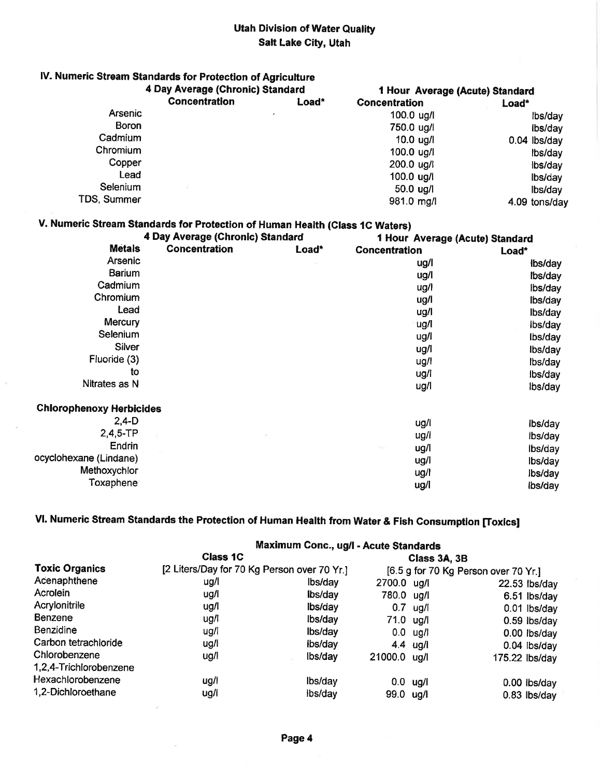## lV. Numeric \$tream Standards for Protection of Agriculture

|                | 4 Day Average (Chronic) Standard |       | 1 Hour Average (Acute) Standard |               |
|----------------|----------------------------------|-------|---------------------------------|---------------|
|                | <b>Concentration</b>             | Load* | <b>Concentration</b>            | Load*         |
| <b>Arsenic</b> |                                  |       | $100.0 \text{ u}g/l$            | lbs/day       |
| <b>Boron</b>   |                                  |       | 750.0 ug/l                      | Ibs/day       |
| Cadmium        |                                  |       | $10.0$ ug/l                     | 0.04 lbs/day  |
| Chromium       |                                  |       | 100.0 ug/l                      | lbs/day       |
| Copper         |                                  |       | 200.0 ug/l                      | lbs/day       |
| Lead           |                                  |       | 100.0 ug/l                      | lbs/day       |
| Selenium       |                                  |       | 50.0 ug/l                       | lbs/day       |
| TDS, Summer    |                                  |       | 981.0 mg/l                      | 4.09 tons/day |

## V. Numeric Stream Standards for Protection of Human Health (Glass lC Waters)

|                                 | 4 Day Average (Chronic) Standard | 1 Hour Average (Acute) Standard |                                    |         |  |
|---------------------------------|----------------------------------|---------------------------------|------------------------------------|---------|--|
| <b>Metals</b>                   | <b>Concentration</b>             | Load*                           | <b>Concentration</b>               | Load*   |  |
| Arsenic                         |                                  |                                 | ug/l                               | lbs/day |  |
| Barium                          |                                  |                                 | ug/l                               | lbs/day |  |
| Cadmium                         |                                  |                                 | ug/l                               | lbs/day |  |
| Chromium                        |                                  |                                 | ug/l                               | lbs/day |  |
| Lead                            |                                  |                                 | ug/l                               | lbs/day |  |
| Mercury                         |                                  |                                 | ug/l                               | ibs/day |  |
| Selenium                        |                                  |                                 | ug/l                               | lbs/day |  |
| Silver                          |                                  |                                 | ug/l                               | lbs/day |  |
| Fluoride (3)                    |                                  |                                 | ug/l                               | lbs/day |  |
| to                              |                                  |                                 | ug/l                               | lbs/day |  |
| Nitrates as N                   |                                  |                                 | ug/l                               | lbs/day |  |
| <b>Chlorophenoxy Herbicides</b> |                                  |                                 |                                    |         |  |
| $2,4-D$                         |                                  |                                 | ug/l                               | lbs/day |  |
| $2,4,5-TP$                      |                                  |                                 | ug/l                               | lbs/day |  |
| Endrin                          |                                  |                                 | ug/l<br>$\mathcal{L}_{\text{max}}$ | lbs/day |  |
| ocyclohexane (Lindane)          |                                  |                                 | ug/l                               | lbs/day |  |
| Methoxychlor                    |                                  |                                 | ug/l                               | lbs/day |  |
| Toxaphene                       |                                  |                                 | ug/l                               | lbs/day |  |

# VI. Numeric Stream Standards the Protection of Human Health from Water & Fish Consumption [Toxics]

|                        | Maximum Conc., ug/l - Acute Standards       |         |                                      |                    |                 |  |  |
|------------------------|---------------------------------------------|---------|--------------------------------------|--------------------|-----------------|--|--|
|                        | <b>Class 1C</b>                             |         |                                      | Class 3A, 3B       |                 |  |  |
| <b>Toxic Organics</b>  | [2 Liters/Day for 70 Kg Person over 70 Yr.] |         | [6.5 g for 70 Kg Person over 70 Yr.] |                    |                 |  |  |
| Acenaphthene           | ug/l                                        | lbs/day | 2700.0 ug/l                          |                    | $22.53$ lbs/day |  |  |
| Acrolein               | ug/l                                        | lbs/day | 780.0 ug/l                           |                    | 6.51 lbs/day    |  |  |
| Acrylonitrile          | ug/l                                        | lbs/day |                                      | $0.7$ ug/l         | $0.01$ lbs/day  |  |  |
| <b>Benzene</b>         | ug/l                                        | lbs/day | 71.0 ug/l                            |                    | $0.59$ lbs/day  |  |  |
| Benzidine              | ug/l                                        | lbs/day |                                      | $0.0 \text{ u}g/l$ | 0.00 lbs/day    |  |  |
| Carbon tetrachloride   | ug/l                                        | ibs/day |                                      | 4.4 $\mu$ g/l      | $0.04$ lbs/day  |  |  |
| Chlorobenzene          | ug/l                                        | lbs/day | 21000.0 ug/l                         |                    | 175.22 lbs/day  |  |  |
| 1,2,4-Trichlorobenzene |                                             |         |                                      |                    |                 |  |  |
| Hexachlorobenzene      | ug/l                                        | lbs/day |                                      | $0.0$ ug/l         | $0.00$ lbs/day  |  |  |
| 1,2-Dichloroethane     | ug/l                                        | lbs/day | 99.0 ug/l                            |                    | $0.83$ lbs/day  |  |  |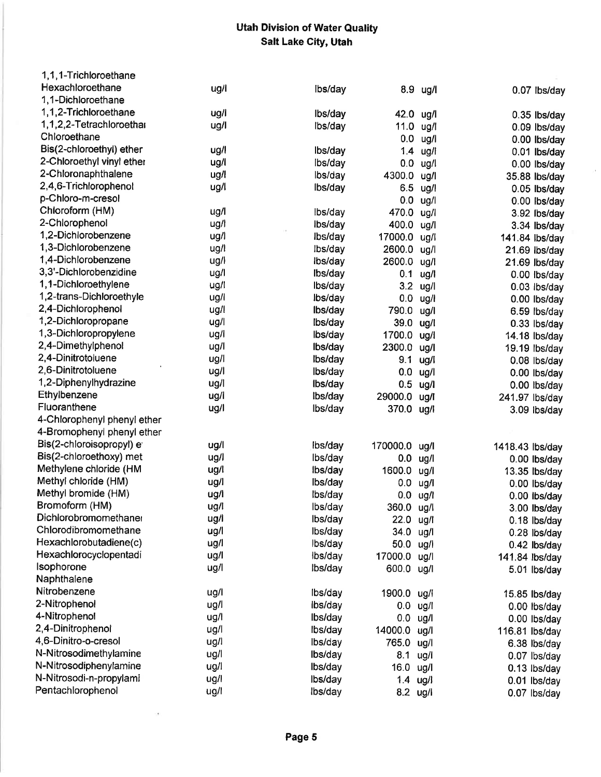| 1,1,1-Trichloroethane        |      |         |              |            |                 |
|------------------------------|------|---------|--------------|------------|-----------------|
| Hexachloroethane             | ug/l | lbs/day |              | 8.9 ug/l   | 0.07 lbs/day    |
| 1,1-Dichloroethane           |      |         |              |            |                 |
| 1,1,2-Trichloroethane        | ug/l | Ibs/day | 42.0 ug/l    |            | $0.35$ lbs/day  |
| 1,1,2,2-Tetrachloroethar     | ug/l | lbs/day | 11.0 ug/l    |            | 0.09 lbs/day    |
| Chloroethane                 |      |         | 0.0          | ug/l       | 0.00 lbs/day    |
| Bis(2-chloroethyl) ether     | ug/l | lbs/day | 1.4          | ug/l       | 0.01 lbs/day    |
| 2-Chloroethyl vinyl ether    | ug/l | lbs/day | 0.0          | ug/l       | 0.00 lbs/day    |
| 2-Chloronaphthalene          | ug/l | lbs/day | 4300.0       | ug/l       | 35.88 lbs/day   |
| 2,4,6-Trichlorophenol        | ug/l | lbs/day | 6.5          | ug/l       | $0.05$ lbs/day  |
| p-Chloro-m-cresol            |      |         | 0.0          | ug/l       | 0.00 lbs/day    |
| Chloroform (HM)              | ug/l | lbs/day | 470.0        | ug/l       | 3.92 lbs/day    |
| 2-Chlorophenol               | ug/l | ibs/day | 400.0        | ug/l       | 3.34 lbs/day    |
| 1,2-Dichlorobenzene          | ug/l | lbs/day | 17000.0 ug/l |            | 141.84 lbs/day  |
| 1,3-Dichlorobenzene          | ug/l | lbs/day | 2600.0 ug/l  |            | 21.69 lbs/day   |
| 1,4-Dichlorobenzene          | ug/l | lbs/day | 2600.0 ug/l  |            | 21.69 lbs/day   |
| 3,3'-Dichlorobenzidine       | ug/l | Ibs/day | 0.1          | ug/l       | 0.00 lbs/day    |
| 1,1-Dichloroethylene         | ug/l | lbs/day |              | 3.2 ug/l   | 0.03 lbs/day    |
| 1,2-trans-Dichloroethyle     | ug/l | lbs/day |              | $0.0$ ug/l | 0.00 lbs/day    |
| 2,4-Dichlorophenol           | ug/l | lbs/day | 790.0 ug/l   |            | 6.59 lbs/day    |
| 1,2-Dichloropropane          | ug/l | lbs/day | 39.0 ug/l    |            | 0.33 lbs/day    |
| 1,3-Dichloropropylene        | ug/l | lbs/day | 1700.0 ug/l  |            | 14.18 lbs/day   |
| 2,4-Dimethylphenol           | ug/l | Ibs/day | 2300.0       | ug/l       | 19.19 lbs/day   |
| 2,4-Dinitrotoluene           | ug/l | lbs/day | 9.1          | ug/l       | $0.08$ lbs/day  |
| 2,6-Dinitrotoluene           | ug/l | lbs/day | 0.0          | ug/l       | 0.00 lbs/day    |
| 1,2-Diphenylhydrazine        | ug/l | lbs/day | 0.5          | ug/l       | 0.00 lbs/day    |
| Ethylbenzene                 | ug/l | lbs/day | 29000.0      | ug/l       | 241.97 lbs/day  |
| Fluoranthene                 | ug/l | lbs/day | 370.0 ug/l   |            | 3.09 lbs/day    |
| 4-Chlorophenyl phenyl ether  |      |         |              |            |                 |
| 4-Bromophenyl phenyl ether   |      |         |              |            |                 |
| Bis(2-chloroisopropyl) e     | ug/l | lbs/day | 170000.0     | ug/l       | 1418.43 lbs/day |
| Bis(2-chloroethoxy) met      | ug/l | lbs/day | 0.0          | ug/l       | $0.00$ lbs/day  |
| Methylene chloride (HM       | ug/l | Ibs/day | 1600.0       | ug/l       | 13.35 lbs/day   |
| Methyl chloride (HM)         | ug/l | lbs/day | 0.0          | ug/l       | 0.00 lbs/day    |
| Methyl bromide (HM)          | ug/l | lbs/day | $0.0$ ug/l   |            | 0.00 lbs/day    |
| Bromoform (HM)               | ug/l | lbs/day | 360.0 ug/l   |            | 3.00 lbs/day    |
| <b>Dichlorobromomethaner</b> | ug/l | lbs/day | 22.0 ug/l    |            | $0.18$ lbs/day  |
| Chlorodibromomethane         | ug/l | lbs/day | 34.0 ug/l    |            | 0.28 lbs/day    |
| Hexachlorobutadiene(c)       | ug/l | lbs/day | 50.0 ug/l    |            | 0.42 lbs/day    |
| Hexachlorocyclopentadi       | ug/l | lbs/day | 17000.0 ug/l |            | 141.84 lbs/day  |
| Isophorone                   | ug/l | lbs/day | 600.0 ug/l   |            | 5.01 lbs/day    |
| Naphthalene                  |      |         |              |            |                 |
| Nitrobenzene                 | ug/l | lbs/day | 1900.0 ug/l  |            | 15.85 lbs/day   |
| 2-Nitrophenol                | ug/l | lbs/day | $0.0$ ug/l   |            | $0.00$ lbs/day  |
| 4-Nitrophenol                | ug/l | Ibs/day | $0.0$ ug/l   |            | 0.00 lbs/day    |
| 2,4-Dinitrophenol            | ug/l | lbs/day | 14000.0 ug/l |            | 116.81 lbs/day  |
| 4,6-Dinitro-o-cresol         | ug/l | lbs/day | 765.0 ug/l   |            | 6.38 lbs/day    |
| N-Nitrosodimethylamine       | ug/l | Ibs/day | 8.1 ug/l     |            | 0.07 lbs/day    |
| N-Nitrosodiphenylamine       | ug/l | lbs/day | 16.0 ug/l    |            | $0.13$ lbs/day  |
| N-Nitrosodi-n-propylami      | ug/l | lbs/day | $1.4$ ug/l   |            | $0.01$ lbs/day  |
| Pentachlorophenol            | ug/l | lbs/day | 8.2 ug/l     |            |                 |
|                              |      |         |              |            | 0.07 lbs/day    |

ge.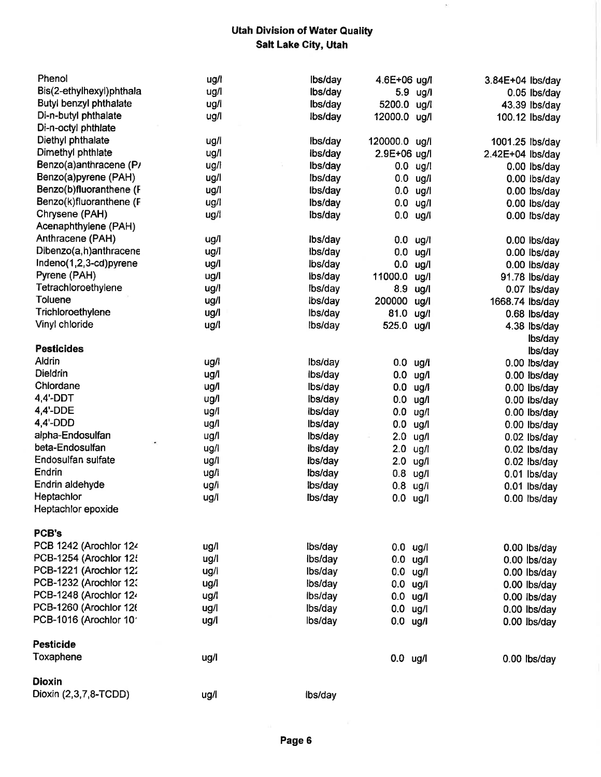$\overline{\Sigma}$ 

| Phenol                   | ug/l | lbs/day | 4.6E+06 ug/l  |              | 3.84E+04 lbs/day |                                  |
|--------------------------|------|---------|---------------|--------------|------------------|----------------------------------|
| Bis(2-ethylhexyl)phthala | ug/l | lbs/day |               | 5.9 ug/l     |                  | 0.05 lbs/day                     |
| Butyl benzyl phthalate   | ug/l | Ibs/day | 5200.0 ug/l   |              |                  | 43.39 lbs/day                    |
| Di-n-butyl phthalate     | ug/l | lbs/day | 12000.0 ug/l  |              |                  | 100.12 lbs/day                   |
| Di-n-octyl phthlate      |      |         |               |              |                  |                                  |
| Diethyl phthalate        | ug/l | lbs/day | 120000.0 ug/l |              | 1001.25 lbs/day  |                                  |
| Dimethyl phthlate        | ug/l | lbs/day | 2.9E+06 ug/l  |              | 2.42E+04 lbs/day |                                  |
| Benzo(a)anthracene (P/   | ug/l | lbs/day | 0.0           | ug/l         |                  | 0.00 lbs/day                     |
| Benzo(a)pyrene (PAH)     | ug/l | lbs/day | 0.0           | ug/l         |                  | 0.00 lbs/day                     |
| Benzo(b)fluoranthene (F  | ug/l | lbs/day | 0.0           | ug/l         |                  | $0.00$ lbs/day                   |
| Benzo(k)fluoranthene (F  | ug/l | lbs/day | 0.0           | ug/l         |                  | $0.00$ lbs/day                   |
| Chrysene (PAH)           | ug/l | lbs/day | 0.0           | ug/l         |                  | 0.00 lbs/day                     |
| Acenaphthylene (PAH)     |      |         |               |              |                  |                                  |
| Anthracene (PAH)         | ug/l | lbs/day | 0.0           | ug/l         |                  | 0.00 lbs/day                     |
| Dibenzo(a,h)anthracene   | ug/l | lbs/day | 0.0           | ug/l         |                  | 0.00 lbs/day                     |
| Indeno(1,2,3-cd)pyrene   | ug/l | lbs/day | 0.0           | ug/l         |                  | 0.00 lbs/day                     |
| Pyrene (PAH)             | ug/l | lbs/day | 11000.0       | ug/l         |                  | 91.78 lbs/day                    |
| Tetrachloroethylene      | ug/l | Ibs/day | 8.9           | ug/l         |                  | 0.07 lbs/day                     |
| <b>Toluene</b>           | ug/l | lbs/day | 200000        | ug/l         | 1668.74 lbs/day  |                                  |
| Trichloroethylene        | ug/l | lbs/day | 81.0          | ug/l         |                  | 0.68 lbs/day                     |
| Vinyl chloride           | ug/l | Ibs/day | 525.0         | ug/l         |                  | 4.38 lbs/day                     |
|                          |      |         |               |              |                  |                                  |
| <b>Pesticides</b>        |      |         |               |              |                  | lbs/day<br>lbs/day               |
| Aldrin                   | ug/l | lbs/day | $0.0$ ug/i    |              |                  | 0.00 lbs/day                     |
| <b>Dieldrin</b>          | ug/i | lbs/day | 0.0           | ug/l         |                  | 0.00 lbs/day                     |
| Chlordane                | ug/l | lbs/day | 0.0           | ug/l         |                  | 0.00 lbs/day                     |
| $4,4'$ -DDT              | ug/l | Ibs/day | 0.0           | ug/l         |                  | 0.00 lbs/day                     |
| 4,4'-DDE                 | ug/l | lbs/day | 0.0           | ug/l         |                  |                                  |
| 4,4-DDD                  | ug/l | lbs/day | 0.0           | ug/l         |                  | 0.00 lbs/day                     |
| alpha-Endosulfan         | ug/l | lbs/day | 2.0           | ug/l         |                  | 0.00 lbs/day                     |
| beta-Endosulfan          | ug/l | lbs/day | 2.0           |              |                  | $0.02$ lbs/day                   |
| Endosulfan sulfate       | ug/l | lbs/day | 2.0           | ug/l<br>ug/l |                  | $0.02$ lbs/day<br>$0.02$ lbs/day |
| Endrin                   | ug/l | Ibs/day | 0.8           | ug/l         |                  |                                  |
| Endrin aldehyde          | ug/l | lbs/day | $0.8$ ug/l    |              |                  | 0.01 lbs/day                     |
| Heptachlor               | ug/l | lbs/day | $0.0$ ug/l    |              |                  | 0.01 lbs/day<br>0.00 lbs/day     |
| Heptachlor epoxide       |      |         |               |              |                  |                                  |
|                          |      |         |               |              |                  |                                  |
| PCB's                    |      |         |               |              |                  |                                  |
| PCB 1242 (Arochlor 124   | ug/l | lbs/day | $0.0$ ug/l    |              |                  | 0.00 lbs/day                     |
| PCB-1254 (Arochlor 125   | ug/l | lbs/day | $0.0$ ug/l    |              |                  | 0.00 lbs/day                     |
| PCB-1221 (Arochlor 122   | ug/i | lbs/day | $0.0$ ug/l    |              |                  | $0.00$ lbs/day                   |
| PCB-1232 (Arochlor 12:   | ug/l | lbs/day | $0.0$ ug/l    |              |                  |                                  |
| PCB-1248 (Arochlor 124   | ug/l | lbs/day | $0.0$ ug/l    |              |                  | 0.00 lbs/day<br>0.00 lbs/day     |
| PCB-1260 (Arochlor 126   | ug/l | lbs/day | $0.0$ ug/l    |              |                  |                                  |
| PCB-1016 (Arochlor 101   | ug/l | lbs/day | $0.0$ ug/l    |              |                  | 0.00 lbs/day                     |
|                          |      |         |               |              |                  | 0.00 lbs/day                     |
| <b>Pesticide</b>         |      |         |               |              |                  |                                  |
| Toxaphene                | ug/l |         | $0.0$ ug/l    |              |                  | 0.00 lbs/day                     |
|                          |      |         |               |              |                  |                                  |
| <b>Dioxin</b>            |      |         |               |              |                  |                                  |
| Dioxin (2,3,7,8-TCDD)    | ug/l | Ibs/day |               |              |                  |                                  |
|                          |      |         |               |              |                  |                                  |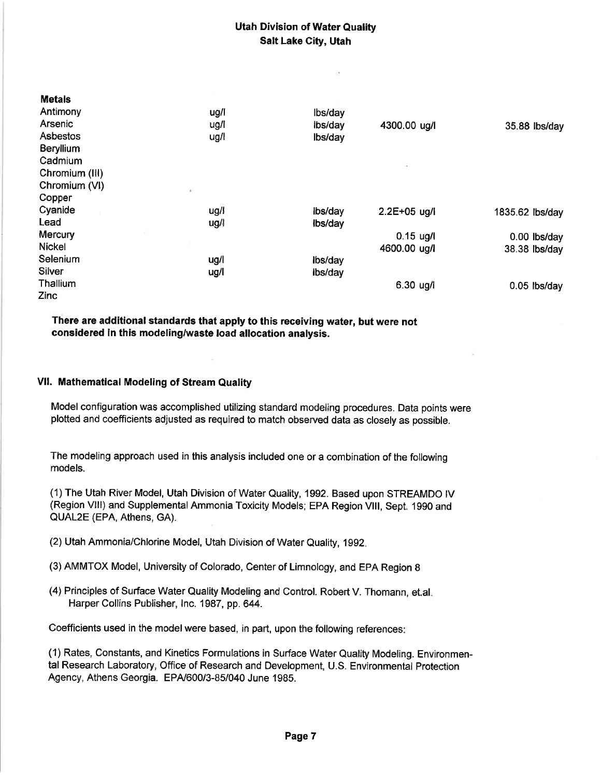| ug/l | lbs/day                      |              |                                  |
|------|------------------------------|--------------|----------------------------------|
| ug/I | lbs/day                      | 4300.00 ug/l | 35.88 lbs/day                    |
| ug/l | lbs/day                      |              |                                  |
|      |                              |              |                                  |
|      |                              |              |                                  |
|      |                              |              |                                  |
|      |                              |              |                                  |
|      |                              |              |                                  |
| ug/l | lbs/day                      |              | 1835.62 lbs/day                  |
|      | Ibs/day                      |              |                                  |
|      |                              | $0.15$ ug/l  | $0.00$ lbs/day                   |
|      |                              | 4600.00 ug/l | 38.38 lbs/day                    |
| ug/l | lbs/day                      |              |                                  |
|      | ibs/day                      |              |                                  |
|      |                              |              | $0.05$ lbs/day                   |
|      |                              |              |                                  |
|      | $\mathbf{X}$<br>ug/l<br>ug/l |              | s<br>2.2E+05 ug/l<br>$6.30$ ug/l |

There are additional standards that apply to this receivíng water, but were not considered in this modeling/waste load allocation analysis.

#### VIl. Mathematical Modeling of Stream Quality

Metals

Model configuration was accomplished utilizing standard modeling procedures. Data points were plotted and coefficients adjusted as required to match observed data as closely as possible.

The modeling approach used in this analysis included one or a combination of the following models.

(1) The Utah River Model, Utah Division of Water Quality, 1992. Based upon STREAMDO tV (Region VIII) and Supplemental Ammonia Toxicity Models; EPA Region VIII, Sept. 1990 and QUAL2E (EPA, Athens, GA).

- (2) Utah Ammonia/Chlorine Model, Utah Division of Water Quality, 1992
- (3) AMMTOX Model, University of Colorado, Center of Limnology, and EPA Region 8
- (4) Principles of Surface Water Quality Modeling and Control. Robert V. Thomann, et.al Harper Collins Publisher, Inc. 1987, pp. 644.

Coefficients used in the model were based, in part, upon the following references

(1) Rates, Constants, and Kinetics Forrnulations in Surface Water Quality Modeling. Environmental Research Laboratory, Office of Research and Development, U.S. Environmental Protection Agency, Athens Georgia. EPA/600/3-85/040 June 1985.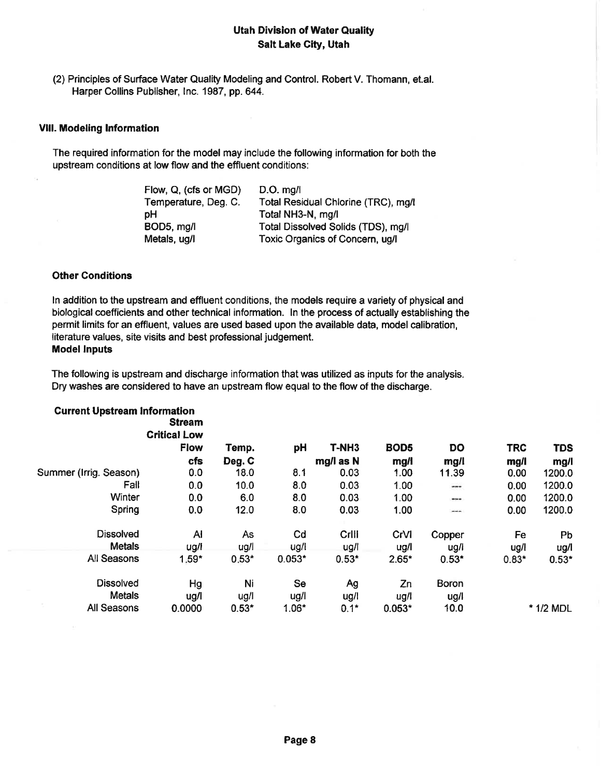(2) Principles of Surface Water Quality Modeling and Control. Robert V. Thomann, et.al. Harper Collins Publisher, Inc. 1987, pp. 644.

#### Vlll. Modeling lnformation

The required information for the model may include the following information for both the upstream conditions at low flow and the effluent conditions:

| Flow, Q, (cfs or MGD) | $D.O.$ mg/                          |
|-----------------------|-------------------------------------|
| Temperature, Deg. C.  | Total Residual Chlorine (TRC), mg/l |
| рH                    | Total NH3-N, mg/l                   |
| BOD5, mg/l            | Total Dissolved Solids (TDS), mg/l  |
| Metals, ug/l          | Toxic Organics of Concern, ug/l     |

#### Other Conditions

ln addition to the upstream and effluent conditions, the models require a variety of physical and biological coefficients and other technical information. ln the process of actually establishing the permit limits for an effluent, values are used based upon the available data, model calibratlon, literature values, site visits and best professional judgement. **Model Inputs** 

The following is upstream and discharge information that was utilized as inputs for the analysis. Dry washes are considered to have an upstream flow equal to the flow of the discharge.

| <b>Current Upstream Information</b> | <b>Stream</b><br><b>Critical Low</b> |         |           |                   |                  |         |            |            |
|-------------------------------------|--------------------------------------|---------|-----------|-------------------|------------------|---------|------------|------------|
|                                     | <b>Flow</b>                          | Temp.   | рH        | T-NH <sub>3</sub> | BOD <sub>5</sub> | DO      | <b>TRC</b> | <b>TDS</b> |
|                                     | <b>cfs</b>                           | Deg. C  |           | mg/l as N         | mg/              | mg/l    | mg/l       | mg/l       |
| Summer (Irrig. Season)              | 0.0                                  | 18.0    | 8.1       | 0.03              | 1.00             | 11.39   | 0.00       | 1200.0     |
| Fall                                | 0.0                                  | 10.0    | 8.0       | 0.03              | 1.00             | $***$   | 0.00       | 1200.0     |
| Winter                              | 0.0                                  | 6.0     | 8.0       | 0.03              | 1.00             | ---     | 0.00       | 1200.0     |
| Spring                              | 0.0                                  | 12.0    | 8.0       | 0.03              | 1.00             |         | 0.00       | 1200.0     |
| <b>Dissolved</b>                    | $\mathsf{A}$                         | As      | Cd        | Crlll             | CrVI             | Copper  | Fe         | Pb         |
| <b>Metals</b>                       | ug/l                                 | ug/l    | ug/l      | ug/l              | ug/l             | ug/l    | ug/l       | ug/l       |
| All Seasons                         | $1.59*$                              | $0.53*$ | $0.053*$  | $0.53*$           | $2.65*$          | $0.53*$ | $0.83*$    | $0.53*$    |
| <b>Dissolved</b>                    | Hg                                   | Ni      | <b>Se</b> | Ag                | Zn               | Boron   |            |            |
| <b>Metals</b>                       | ug/l                                 | ug/l    | ug/l      | ug/l              | ug/l             | ug/l    |            |            |
| All Seasons                         | 0.0000                               | $0.53*$ | $1.06*$   | $0.1*$            | $0.053*$         | 10.0    |            | * 1/2 MDL  |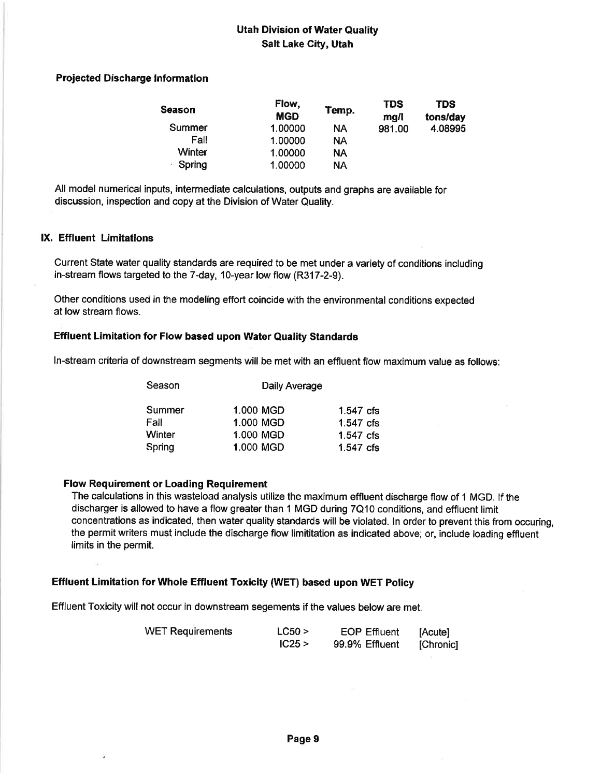#### Projected Discharge lnformation

| Season | Flow,<br><b>MGD</b> | Temp.     | <b>TDS</b><br>ma/l | <b>TDS</b><br>tons/day |
|--------|---------------------|-----------|--------------------|------------------------|
| Summer | 1.00000             | NА        | 981.00             | 4.08995                |
| Fall   | 1.00000             | NΑ        |                    |                        |
| Winter | 1.00000             | <b>NA</b> |                    |                        |
| Spring | 1.00000             | ΝA        |                    |                        |

All model numerical inputs, intermediate calculations, outputs and graphs are available for discussion, inspectíon and copy at the Division of Water Quality.

#### lX. Effluent Limitations

Current State water quality standards are required to be met under a variety of conditions including in-stream flows targeted to the 7-day, 10-year low flow (R317-2-9).

Other conditions used in the modeling effort coincide with the environmental conditions expected at low stream flows.

#### Effluent Limitation for Flow based upon Water Quality Standards

ln-stream criteria of downstream segments will be met with an effluent flow maximum value as follows:

| Season | Daily Average |             |  |  |  |
|--------|---------------|-------------|--|--|--|
| Summer | 1.000 MGD     | 1.547 cfs   |  |  |  |
| Fall   | 1.000 MGD     | 1.547 cfs   |  |  |  |
| Winter | 1.000 MGD     | $1.547$ cfs |  |  |  |
| Spring | 1.000 MGD     | $1.547$ cfs |  |  |  |

#### Flow Requirement or Loading Requirement

The calculations in this wasteload analysis utilize the maxímum etfluent discharge flow of 1 MGD. lf the discharger is allowed to have a flow greater than I MGD during 7Q10 conditions, and effluent limit concentrations as indicated, then water quality standards will be violated. ln order to prevent this from occuring, the permit writers must include the discharge flow limititation as indicated above; or, include loading effluent limits in the permit.

### Effluent Limitation for Whole Effluent Toxicity (WET) based upon WET Policy

Etfluent Toxicity will not occur in downstream segements if the values below are met.

| <b>WET Requirements</b> | LC50 > | <b>EOP Effluent</b> | [Acute]   |
|-------------------------|--------|---------------------|-----------|
|                         | IC25 > | 99.9% Effluent      | [Chronic] |
|                         |        |                     |           |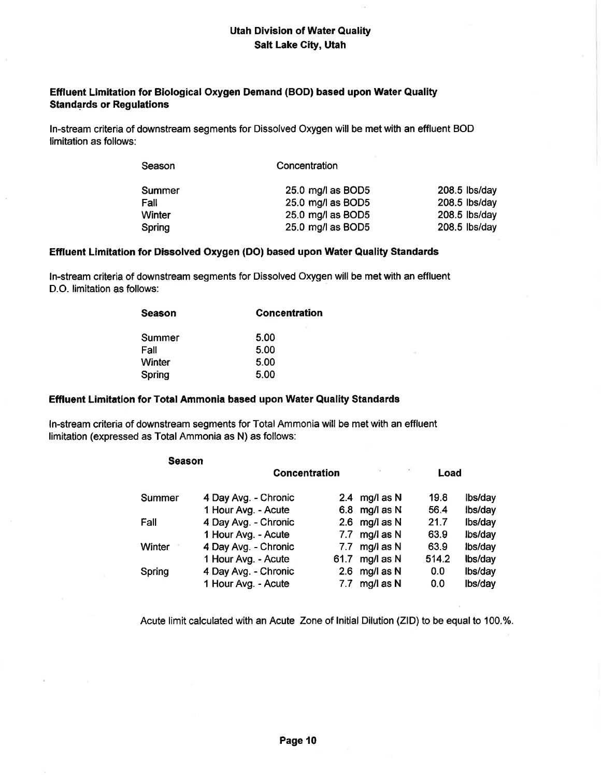#### Effluent Limitation for Biological Oxygen Demand (BOD) based upon Water Quality Standards or Regulations

ln-stream criteria of downstream segments for Dissolved Oxygen will be met with an effluent BOD limitation as follows:

| Season | Concentration     |                 |
|--------|-------------------|-----------------|
| Summer | 25.0 mg/l as BOD5 | 208.5 lbs/day   |
| Fall   | 25.0 mg/l as BOD5 | $208.5$ lbs/day |
| Winter | 25.0 mg/l as BOD5 | $208.5$ lbs/day |
| Spring | 25.0 mg/l as BOD5 | $208.5$ lbs/day |

#### Effluent Limitation for Dissolved Orygen (DO) based upon Water Quality Standards

ln-stream criteria of downstream segments for Dissolved Oxygen will be met with an effluent D.O. limitation as follows:

| <b>Season</b> | <b>Concentration</b> |
|---------------|----------------------|
| Summer        | 5.00                 |
| Fall          | 5.00                 |
| Winter        | 5.00                 |
| Spring        | 5.00                 |

#### Effluent Limitation for Total Ammonia based upon Water Quality Standards

ln-stream criteria of downstream segments for Total Ammonia wíll be met with an effluent limitation (expressed as Total Ammonia as N) as follows:

| Season |                      |      |                              |       |         |
|--------|----------------------|------|------------------------------|-------|---------|
|        | <b>Concentration</b> |      | $\langle \hat{\Phi} \rangle$ | Load  |         |
| Summer | 4 Day Avg. - Chronic |      | 2.4 mg/l as $N$              | 19.8  | lbs/day |
|        | 1 Hour Avg. - Acute  |      | 6.8 mg/l as $N$              | 56.4  | lbs/day |
| Fall   | 4 Day Avg. - Chronic | 2.6  | mg/l as N                    | 21.7  | Ibs/day |
|        | 1 Hour Avg. - Acute  | 7.7  | mg/l as N                    | 63.9  | lbs/day |
| Winter | 4 Day Avg. - Chronic | 7.7  | mg/l as N                    | 63.9  | Ibs/day |
|        | 1 Hour Avg. - Acute  | 61.7 | mg/l as N                    | 514.2 | Ibs/day |
| Spring | 4 Day Avg. - Chronic | 2.6  | mg/l as N                    | 0.0   | Ibs/day |
|        | 1 Hour Avg. - Acute  | 7.7  | mg/l as N                    | 0.0   | lbs/day |

Acute limit calculated with an Acute Zone of Initial Dilution (ZID) to be equal to 100.%.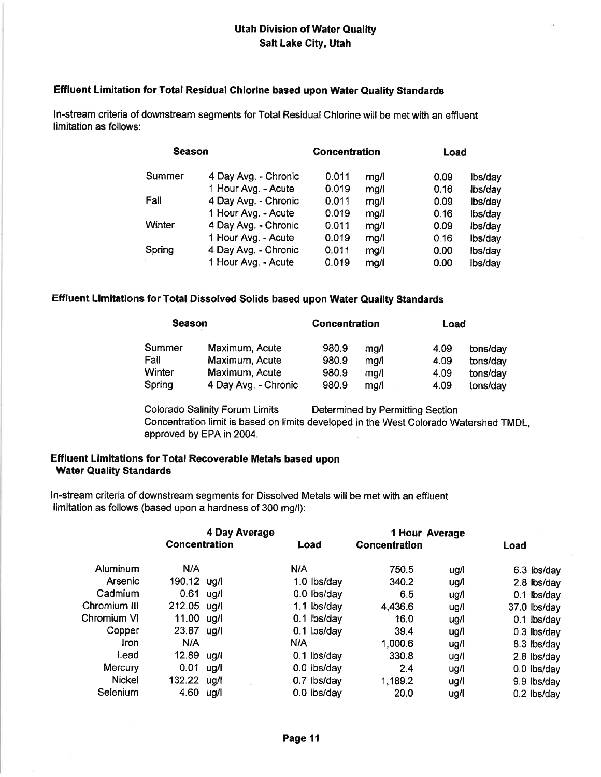#### Effluent Limitation for Total Residual Chlorine based upon Water Quality Standards

ln-stream criteria of downstream segments for Total Residual Chlorine will be met with an etfluent limitation as follows:

| <b>Season</b> |                      | Concentration |      | Load |         |  |
|---------------|----------------------|---------------|------|------|---------|--|
| Summer        | 4 Day Avg. - Chronic | 0.011         | mg/l | 0.09 | lbs/day |  |
|               | 1 Hour Avg. - Acute  | 0.019         | mg/1 | 0.16 | Ibs/day |  |
| Fall          | 4 Day Avg. - Chronic | 0.011         | mg/  | 0.09 | lbs/day |  |
|               | 1 Hour Avg. - Acute  | 0.019         | mq/l | 0.16 | lbs/day |  |
| Winter        | 4 Day Avg. - Chronic | 0.011         | mg/l | 0.09 | lbs/day |  |
|               | 1 Hour Avg. - Acute  | 0.019         | mg/l | 0.16 | lbs/day |  |
| Spring        | 4 Day Avg. - Chronic | 0.011         | mg/l | 0.00 | lbs/day |  |
|               | 1 Hour Avg. - Acute  | 0.019         | mg/l | 0.00 | lbs/day |  |

#### Effluent Limitations for Total Dissolved Sotids based upon Water Quality Standards

| <b>Season</b> |                      | <b>Concentration</b> |      | Load |          |
|---------------|----------------------|----------------------|------|------|----------|
| Summer        | Maximum, Acute       | 980.9                | ma/l | 4.09 | tons/day |
| Fall          | Maximum, Acute       | 980.9                | mg/l | 4.09 | tons/day |
| Winter        | Maximum, Acute       | 980.9                | mg/l | 4.09 | tons/day |
| Spring        | 4 Day Avg. - Chronic | 980.9                | ma/l | 4.09 | tons/day |

Colorado Salinity Forum Limits Determined by Permitting Section Concentration limit is based on limits developed in the West Colorado Watershed TMDL, approved by EPA in 2004.

#### Effluent Limitations for Total Recoverable Metals based upon Water Quality Standards

ln-stream criteria of downstream segments for Dissolved Metals will be met with an effluent limitation as follows (based upon a hardness of 300 mg/l):

| 4 Day Average |                      |      |               | 1 Hour Average |      |               |
|---------------|----------------------|------|---------------|----------------|------|---------------|
|               | <b>Concentration</b> |      | Load          | Concentration  |      | Load          |
| Aluminum      | N/A                  |      | N/A           | 750.5          | ug/l | 6.3 lbs/day   |
| Arsenic       | 190.12 ug/l          |      | 1.0 lbs/day   | 340.2          | ug/l | 2.8 lbs/day   |
| Cadmium       | 0.61                 | ug/l | 0.0 lbs/day   | 6.5            | ug/l | 0.1 lbs/day   |
| Chromium III  | 212.05 ug/l          |      | 1.1 lbs/day   | 4,436.6        | ug/l | 37.0 lbs/day  |
| Chromium VI   | 11.00                | ug/l | 0.1 lbs/day   | 16.0           | ug/l | 0.1 lbs/day   |
| Copper        | 23.87                | ug/l | $0.1$ lbs/day | 39.4           | ug/l | $0.3$ lbs/day |
| Iron          | N/A                  |      | N/A           | 1,000.6        | ug/l | 8.3 lbs/day   |
| Lead          | 12.89                | ua/l | 0.1 lbs/day   | 330.8          | ug/l | 2.8 lbs/day   |
| Mercury       | 0.01                 | ug/l | $0.0$ lbs/day | 2.4            | ug/l | 0.0 lbs/day   |
| <b>Nickel</b> | 132.22               | ug/l | 0.7 lbs/day   | 1,189.2        | ug/l | 9.9 lbs/day   |
| Selenium      | 4.60                 | ug/l | 0.0 lbs/day   | 20.0           | ug/l | 0.2 lbs/day   |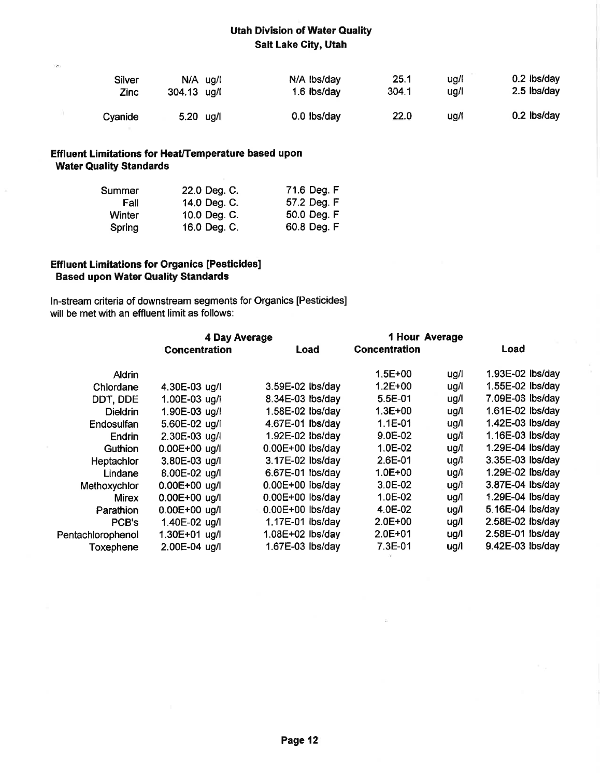| Silver  | $N/A$ ug/l  | N/A Ibs/day | 25.1  | ug/l | $0.2$ lbs/day |
|---------|-------------|-------------|-------|------|---------------|
| Zinc    | 304.13 ug/l | 1.6 lbs/day | 304.1 | ug/l | 2.5 lbs/day   |
| Cyanide | $5.20$ ug/l | 0.0 lbs/day | 22.0  | ug/l | 0.2 lbs/day   |

## Effluent Limitations for Heat/Temperature based upon Water Quality Standards

×

 $\mathcal{N}$ 

| Summer        | 22.0 Deg. C. | 71.6 Deg. F |
|---------------|--------------|-------------|
| Fall          | 14.0 Deg. C. | 57.2 Deg. F |
| <b>Winter</b> | 10.0 Deg. C. | 50.0 Deg. F |
| Spring        | 16.0 Deg. C. | 60.8 Deg. F |

#### **Effluent Limitations for Organics [Pesticides]** Based upon Water Quality Standards

ln-stream criteria of downstream segments for Organics [Pesticides] will be met with an effluent limit as follows:

|                   | <b>4 Day Average</b> | 1 Hour Average     |                      |      |                  |
|-------------------|----------------------|--------------------|----------------------|------|------------------|
|                   | <b>Concentration</b> | Load               | <b>Concentration</b> |      | Load             |
| <b>Aldrin</b>     |                      |                    | $1.5E + 00$          | ug/l | 1.93E-02 lbs/day |
| Chlordane         | 4.30E-03 ug/l        | 3.59E-02 lbs/day   | $1.2E + 00$          | ug/l | 1.55E-02 lbs/day |
| DDT, DDE          | 1.00E-03 ug/l        | 8.34E-03 lbs/day   | $5.5E-01$            | ug/l | 7.09E-03 lbs/day |
| <b>Dieldrin</b>   | 1.90E-03 ug/l        | 1.58E-02 lbs/day   | $1.3E + 00$          | ug/l | 1.61E-02 lbs/day |
| Endosulfan        | 5.60E-02 ug/l        | 4.67E-01 lbs/day   | $1.1E - 01$          | ug/l | 1.42E-03 lbs/day |
| Endrin            | 2.30E-03 ug/l        | 1.92E-02 lbs/day   | 9.0E-02              | ug/l | 1.16E-03 lbs/day |
| Guthion           | $0.00E + 00$ ug/l    | $0.00E+00$ lbs/day | 1.0E-02              | ug/l | 1.29E-04 lbs/day |
| Heptachlor        | 3.80E-03 ug/l        | 3.17E-02 lbs/day   | 2.6E-01              | ug/l | 3.35E-03 lbs/day |
| Lindane           | 8.00E-02 ug/l        | 6.67E-01 lbs/day   | $1.0E + 00$          | ug/l | 1.29E-02 lbs/day |
| Methoxychlor      | $0.00E + 00$ ug/l    | $0.00E+00$ lbs/day | 3.0E-02              | ug/l | 3.87E-04 lbs/day |
| <b>Mirex</b>      | 0.00E+00 ug/l        | 0.00E+00 lbs/day   | 1.0E-02              | ug/i | 1.29E-04 lbs/day |
| Parathion         | 0.00E+00 ug/l        | 0.00E+00 lbs/day   | 4.0E-02              | ug/l | 5.16E-04 lbs/day |
| PCB's             | 1.40E-02 ug/l        | 1.17E-01 lbs/day   | $2.0E + 00$          | ug/l | 2.58E-02 lbs/day |
| Pentachlorophenol | 1.30E+01 ug/l        | 1.08E+02 lbs/day   | $2.0E + 01$          | ug/l | 2.58E-01 lbs/day |
| Toxephene         | 2.00E-04 ug/l        | 1.67E-03 lbs/day   | 7.3E-01              | ug/l | 9.42E-03 lbs/day |
|                   |                      |                    |                      |      |                  |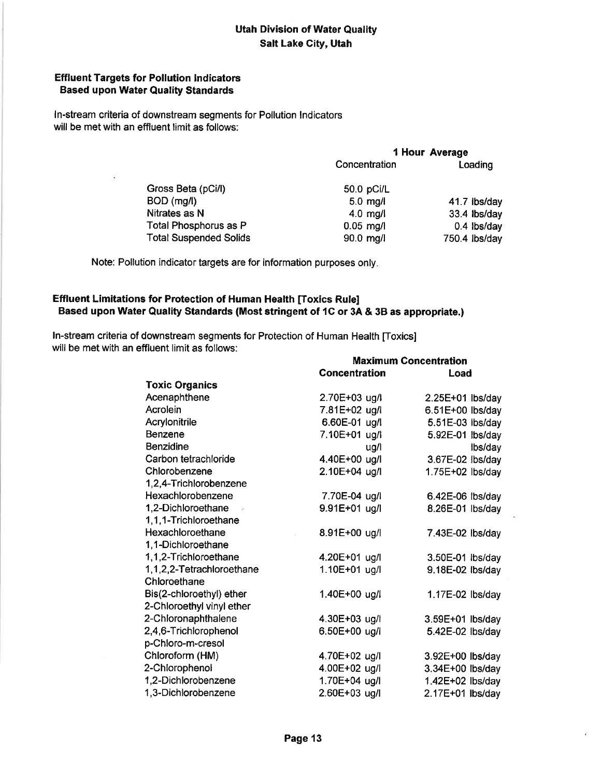#### Effluent Targets for Pollution lndicators **Based upon Water Quality Standards**

ln-stream criteria of downstream segments for Pollution lndicators will be met with an effluent limit as follows:

| 1 Hour Average |               |  |
|----------------|---------------|--|
| Concentration  | Loading       |  |
| 50.0 pCi/L     |               |  |
| $5.0$ mg/l     | 41.7 lbs/day  |  |
| $4.0$ mg/      | 33.4 lbs/day  |  |
| $0.05$ mg/l    | 0.4 lbs/day   |  |
| 90.0 mg/l      | 750.4 lbs/day |  |
|                |               |  |

Note: Pollution indicator targets are for information purposes only

#### Effluent Limitations for Protection of Human Health [Toxics Rule] Based upon Water Quality Standards (Most stringent of 1C or 3A & 3B as appropriate.)

ln-stream criteria of downstream segments for Protection of Human Health [Toxics] will be met with an effluent limit as follows:

|                                     |                      | <b>Maximum Concentration</b> |  |  |  |
|-------------------------------------|----------------------|------------------------------|--|--|--|
|                                     | <b>Concentration</b> | Load                         |  |  |  |
| <b>Toxic Organics</b>               |                      |                              |  |  |  |
| Acenaphthene                        | 2.70E+03 ug/l        | 2.25E+01 lbs/day             |  |  |  |
| Acrolein                            | 7.81E+02 ug/l        | 6.51E+00 lbs/day             |  |  |  |
| Acrylonitrile                       | 6.60E-01 ug/l        | 5.51E-03 lbs/day             |  |  |  |
| Benzene                             | 7.10E+01 ug/l        | 5.92E-01 lbs/day             |  |  |  |
| <b>Benzidine</b>                    | ug/l                 | lbs/day                      |  |  |  |
| Carbon tetrachloride                | 4.40E+00 ug/l        | 3.67E-02 lbs/day             |  |  |  |
| Chlorobenzene                       | 2.10E+04 ug/l        | 1.75E+02 lbs/day             |  |  |  |
| 1,2,4-Trichlorobenzene              |                      |                              |  |  |  |
| Hexachlorobenzene                   | 7.70E-04 ug/l        | 6.42E-06 lbs/day             |  |  |  |
| 1,2-Dichloroethane<br>$\rightarrow$ | 9.91E+01 ug/l        | 8.26E-01 lbs/day             |  |  |  |
| 1,1,1-Trichloroethane               |                      |                              |  |  |  |
| Hexachloroethane                    | 8.91E+00 ug/l        | 7.43E-02 lbs/day             |  |  |  |
| 1,1-Dichloroethane                  |                      |                              |  |  |  |
| 1,1,2-Trichloroethane               | 4.20E+01 ug/l        | 3.50E-01 lbs/day             |  |  |  |
| 1,1,2,2-Tetrachloroethane           | 1.10E+01 ug/l        | 9.18E-02 lbs/day             |  |  |  |
| Chloroethane                        |                      |                              |  |  |  |
| Bis(2-chloroethyl) ether            | 1.40E+00 ug/l        | 1.17E-02 lbs/day             |  |  |  |
| 2-Chloroethyl vinyl ether           |                      |                              |  |  |  |
| 2-Chloronaphthalene                 | 4.30E+03 ug/l        | 3.59E+01 lbs/day             |  |  |  |
| 2,4,6-Trichlorophenol               | 6.50E+00 ug/l        | 5.42E-02 lbs/day             |  |  |  |
| p-Chloro-m-cresol                   |                      |                              |  |  |  |
| Chloroform (HM)                     | 4.70E+02 ug/l        | 3.92E+00 lbs/day             |  |  |  |
| 2-Chlorophenol                      | 4.00E+02 ug/l        | 3.34E+00 lbs/day             |  |  |  |
| 1,2-Dichlorobenzene                 | 1.70E+04 ug/l        | 1.42E+02 lbs/day             |  |  |  |
| 1,3-Dichlorobenzene                 | 2.60E+03 ug/l        | 2.17E+01 lbs/day             |  |  |  |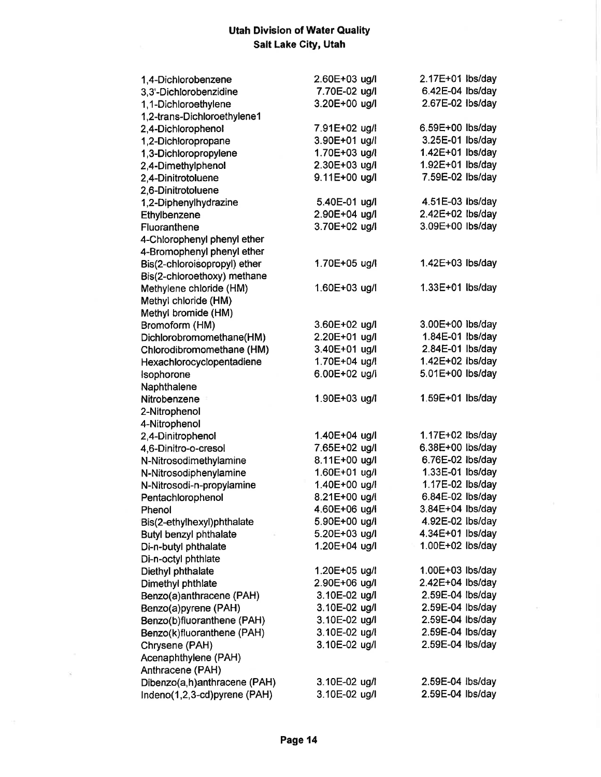$\sim$ 

| 1,4-Dichlorobenzene           | 2.60E+03 ug/l | 2.17E+01 lbs/day |
|-------------------------------|---------------|------------------|
| 3,3'-Dichlorobenzidine        | 7.70E-02 ug/l | 6.42E-04 lbs/day |
| 1,1-Dichloroethylene          | 3.20E+00 ug/l | 2.67E-02 lbs/day |
| 1,2-trans-Dichloroethylene1   |               |                  |
| 2,4-Dichlorophenol            | 7.91E+02 ug/l | 6.59E+00 lbs/day |
| 1,2-Dichloropropane           | 3.90E+01 ug/l | 3.25E-01 lbs/day |
| 1,3-Dichloropropylene         | 1.70E+03 ug/l | 1.42E+01 lbs/day |
| 2,4-Dimethylphenol            | 2.30E+03 ug/l | 1.92E+01 lbs/day |
| 2,4-Dinitrotoluene            | 9.11E+00 ug/l | 7.59E-02 lbs/day |
| 2,6-Dinitrotoluene            |               |                  |
| 1,2-Diphenylhydrazine         | 5.40E-01 ug/l | 4.51E-03 lbs/day |
| Ethylbenzene                  | 2.90E+04 ug/l | 2.42E+02 lbs/day |
| Fluoranthene                  | 3.70E+02 ug/l | 3.09E+00 lbs/day |
| 4-Chlorophenyl phenyl ether   |               |                  |
| 4-Bromophenyl phenyl ether    |               |                  |
| Bis(2-chloroisopropyl) ether  | 1.70E+05 ug/l | 1.42E+03 lbs/day |
| Bis(2-chloroethoxy) methane   |               |                  |
| Methylene chloride (HM)       | 1.60E+03 ug/l | 1.33E+01 lbs/day |
| Methyl chloride (HM)          |               |                  |
| Methyl bromide (HM)           |               |                  |
| Bromoform (HM)                | 3.60E+02 ug/l | 3.00E+00 lbs/day |
| Dichlorobromomethane(HM)      | 2.20E+01 ug/l | 1.84E-01 lbs/day |
| Chlorodibromomethane (HM)     | 3.40E+01 ug/l | 2.84E-01 lbs/day |
| Hexachlorocyclopentadiene     | 1.70E+04 ug/l | 1.42E+02 lbs/day |
| Isophorone                    | 6.00E+02 ug/l | 5.01E+00 lbs/day |
| Naphthalene                   |               |                  |
| Nitrobenzene                  | 1.90E+03 ug/l | 1.59E+01 lbs/day |
| 2-Nitrophenol                 |               |                  |
| 4-Nitrophenol                 |               |                  |
| 2,4-Dinitrophenol             | 1.40E+04 ug/l | 1.17E+02 lbs/day |
| 4,6-Dinitro-o-cresol          | 7.65E+02 ug/l | 6.38E+00 lbs/day |
| N-Nitrosodimethylamine        | 8.11E+00 ug/l | 6.76E-02 lbs/day |
| N-Nitrosodiphenylamine        | 1.60E+01 ug/l | 1.33E-01 lbs/day |
| N-Nitrosodi-n-propylamine     | 1.40E+00 ug/l | 1.17E-02 lbs/day |
| Pentachlorophenol             | 8.21E+00 ug/l | 6.84E-02 lbs/day |
| Phenol                        | 4.60E+06 ug/i | 3.84E+04 lbs/day |
| Bis(2-ethylhexyl)phthalate    | 5.90E+00 ug/l | 4.92E-02 lbs/day |
| <b>Butyl benzyl phthalate</b> | 5.20E+03 ug/l | 4.34E+01 lbs/day |
| Di-n-butyl phthalate          | 1.20E+04 ug/l | 1.00E+02 lbs/day |
| Di-n-octyl phthlate           |               |                  |
| Diethyl phthalate             | 1.20E+05 ug/l | 1.00E+03 lbs/day |
| Dimethyl phthlate             | 2.90E+06 ug/l | 2.42E+04 lbs/day |
| Benzo(a)anthracene (PAH)      | 3.10E-02 ug/l | 2.59E-04 lbs/day |
| Benzo(a)pyrene (PAH)          | 3.10E-02 ug/l | 2.59E-04 lbs/day |
| Benzo(b)fluoranthene (PAH)    | 3.10E-02 ug/l | 2.59E-04 lbs/day |
| Benzo(k)fluoranthene (PAH)    | 3.10E-02 ug/l | 2.59E-04 lbs/day |
| Chrysene (PAH)                | 3.10E-02 ug/l | 2.59E-04 lbs/day |
| Acenaphthylene (PAH)          |               |                  |
| Anthracene (PAH)              |               |                  |
| Dibenzo(a,h)anthracene (PAH)  | 3.10E-02 ug/l | 2.59E-04 lbs/day |
| Indeno(1,2,3-cd)pyrene (PAH)  | 3.10E-02 ug/l | 2.59E-04 lbs/day |
|                               |               |                  |

 $\widetilde{\mathcal{N}}$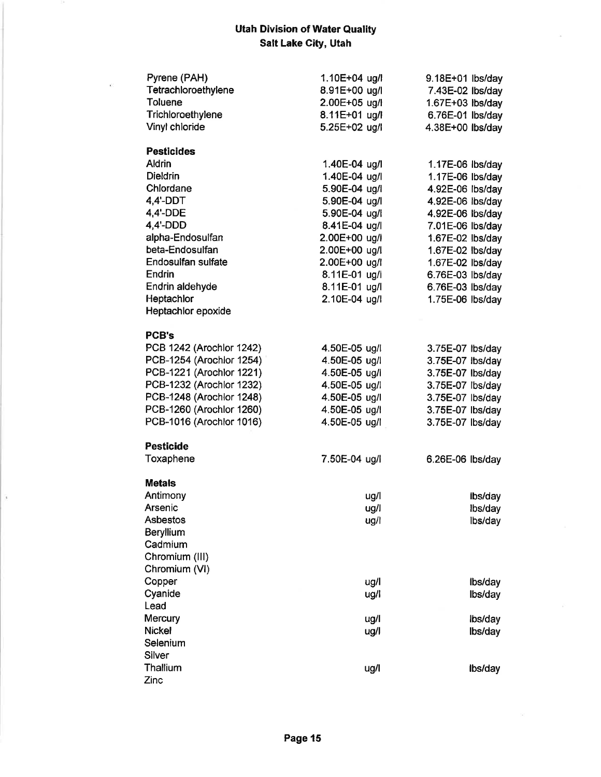| Pyrene (PAH)             | 1.10E+04 ug/l | 9.18E+01 lbs/day |
|--------------------------|---------------|------------------|
| Tetrachloroethylene      | 8.91E+00 ug/l | 7.43E-02 lbs/day |
| <b>Toluene</b>           | 2.00E+05 ug/l | 1.67E+03 lbs/day |
| Trichloroethylene        | 8.11E+01 ug/l | 6.76E-01 lbs/day |
| Vinyl chloride           | 5.25E+02 ug/l | 4.38E+00 lbs/day |
|                          |               |                  |
| <b>Pesticides</b>        |               |                  |
| Aldrin                   | 1.40E-04 ug/l | 1.17E-06 lbs/day |
| <b>Dieldrin</b>          | 1.40E-04 ug/l | 1.17E-06 lbs/day |
| Chlordane                | 5.90E-04 ug/l | 4.92E-06 lbs/day |
| 4,4'-DDT                 | 5.90E-04 ug/l | 4.92E-06 lbs/day |
| 4,4'-DDE                 | 5.90E-04 ug/l | 4.92E-06 lbs/day |
| 4,4'-DDD                 | 8.41E-04 ug/l | 7.01E-06 lbs/day |
| alpha-Endosulfan         | 2.00E+00 ug/l | 1.67E-02 lbs/day |
| beta-Endosulfan          | 2.00E+00 ug/l | 1.67E-02 lbs/day |
| Endosulfan sulfate       | 2.00E+00 ug/l | 1.67E-02 lbs/day |
| Endrin                   | 8.11E-01 ug/l | 6.76E-03 lbs/day |
| Endrin aldehyde          | 8.11E-01 ug/l | 6.76E-03 lbs/day |
| Heptachlor               | 2.10E-04 ug/l | 1.75E-06 lbs/day |
| Heptachlor epoxide       |               |                  |
|                          |               |                  |
| <b>PCB's</b>             |               |                  |
| PCB 1242 (Arochlor 1242) | 4.50E-05 ug/l | 3.75E-07 lbs/day |
| PCB-1254 (Arochlor 1254) | 4.50E-05 ug/l | 3.75E-07 lbs/day |
| PCB-1221 (Arochlor 1221) | 4.50E-05 ug/l | 3.75E-07 lbs/day |
| PCB-1232 (Arochlor 1232) | 4.50E-05 ug/l | 3.75E-07 lbs/day |
| PCB-1248 (Arochlor 1248) | 4.50E-05 ug/l | 3.75E-07 lbs/day |
| PCB-1260 (Arochlor 1260) | 4.50E-05 ug/l | 3.75E-07 lbs/day |
| PCB-1016 (Arochlor 1016) | 4.50E-05 ug/l | 3.75E-07 lbs/day |
|                          |               |                  |
| <b>Pesticide</b>         |               |                  |
| Toxaphene                | 7.50E-04 ug/l | 6.26E-06 lbs/day |
|                          |               |                  |
| <b>Metals</b>            |               |                  |
| Antimony                 | ug/l          | ibs/day          |
| Arsenic                  | ua/l          | lbs/day          |
| Asbestos                 | ug/l          | lbs/day          |
| Beryllium                |               |                  |
| Cadmium                  |               |                  |
| Chromium (III)           |               |                  |
| Chromium (VI)            |               |                  |
| Copper                   | ug/l          | Ibs/day          |
| Cyanide                  | ug/l          | lbs/day          |
| Lead                     |               |                  |
| Mercury                  | ug/l          | lbs/day          |
| <b>Nickel</b>            | ug/l          | lbs/day          |
| Selenium                 |               |                  |
| Silver                   |               |                  |
| Thallium                 | ug/l          | Ibs/day          |
| Zinc                     |               |                  |

 $\tilde{\epsilon}$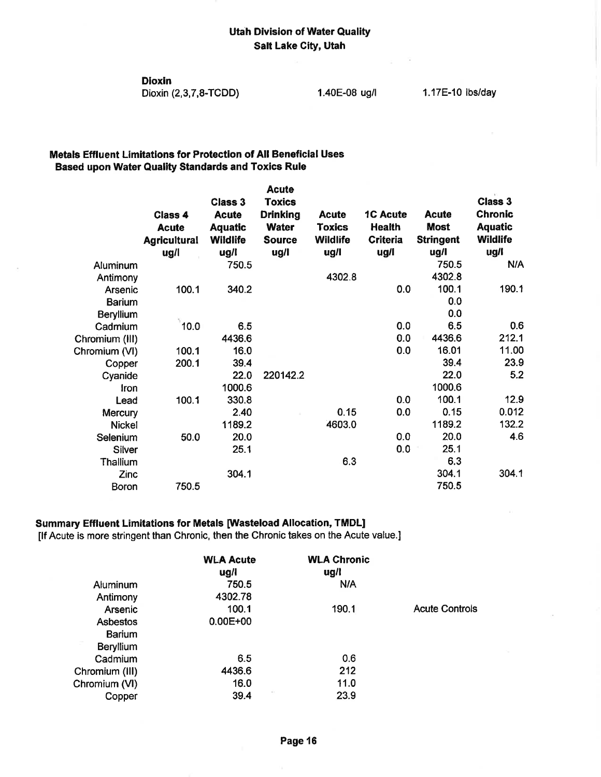Dioxin

Dioxin (2,3,7,8-TCDD)

#### Metals Effluent Limitations for Protection of All Beneficial Uses Based upon Water Quality Standards and Toxics Rule

|                |                                | <b>Class 3</b>                 | <b>Acute</b><br><b>Toxics</b>   |                         |                           |                             | <b>Class 3</b>                   |
|----------------|--------------------------------|--------------------------------|---------------------------------|-------------------------|---------------------------|-----------------------------|----------------------------------|
|                | <b>Class 4</b><br><b>Acute</b> | <b>Acute</b><br><b>Aquatic</b> | <b>Drinking</b><br><b>Water</b> | <b>Acute</b><br>Toxics  | <b>1C Acute</b><br>Health | <b>Acute</b><br><b>Most</b> | <b>Chronic</b><br><b>Aquatic</b> |
|                | <b>Agricultural</b><br>ug/l    | <b>Wildlife</b><br>ug/l        | <b>Source</b><br>ug/l           | <b>Wildlife</b><br>ug/l | Criteria<br>ug/l          | <b>Stringent</b><br>ug/l    | <b>Wildlife</b><br>ug/l          |
| Aluminum       |                                | 750.5                          |                                 |                         |                           | 750.5                       | N/A                              |
| Antimony       |                                |                                |                                 | 4302.8                  |                           | 4302.8                      |                                  |
| Arsenic        | 100.1                          | 340.2                          |                                 |                         | 0.0                       | 100.1                       | 190.1                            |
| <b>Barium</b>  |                                |                                |                                 |                         |                           | 0.0                         |                                  |
| Beryllium      |                                |                                |                                 |                         |                           | 0.0                         |                                  |
| Cadmium        | 10.0                           | 6.5                            |                                 |                         | 0.0                       | 6.5                         | 0.6                              |
| Chromium (III) |                                | 4436.6                         |                                 |                         | 0.0                       | 4436.6                      | 212.1                            |
| Chromium (VI)  | 100.1                          | 16.0                           |                                 |                         | 0.0                       | 16.01                       | 11.00                            |
| Copper         | 200.1                          | 39.4                           |                                 |                         |                           | 39.4                        | 23.9                             |
| Cyanide        |                                | 22.0                           | 220142.2                        |                         |                           | 22.0                        | 5.2                              |
| Iron           |                                | 1000.6                         |                                 |                         |                           | 1000.6                      |                                  |
| Lead           | 100.1                          | 330.8                          |                                 |                         | 0.0                       | 100.1                       | 12.9                             |
| <b>Mercury</b> |                                | 2.40                           |                                 | 0.15                    | 0.0                       | 0.15                        | 0.012                            |
| <b>Nickel</b>  |                                | 1189.2                         |                                 | 4603.0                  |                           | 1189.2                      | 132.2                            |
| Selenium       | 50.0                           | 20.0                           |                                 |                         | 0.0                       | 20.0                        | 4.6                              |
| Silver         |                                | 25.1                           |                                 |                         | 0.0                       | 25.1                        |                                  |
| Thallium       |                                |                                |                                 | 6.3                     |                           | 6.3                         |                                  |
| Zinc           |                                | 304.1                          |                                 |                         |                           | 304.1                       | 304.1                            |
| <b>Boron</b>   | 750.5                          |                                |                                 |                         |                           | 750.5                       |                                  |

## Summary Effluent Limitations for Metals [Wasteload Allocation, TMDLI

[If Acute is more stringent than Chronic, then the Chronic takes on the Acute value.]

|                  | <b>WLA Acute</b><br>ug/l | <b>WLA Chronic</b><br>$\mathbf{u}$ g/l |                       |
|------------------|--------------------------|----------------------------------------|-----------------------|
| Aluminum         | 750.5                    | N/A                                    |                       |
| Antimony         | 4302.78                  |                                        |                       |
| Arsenic          | 100.1                    | 190.1                                  | <b>Acute Controls</b> |
| <b>Asbestos</b>  | $0.00E + 00$             |                                        |                       |
| <b>Barium</b>    |                          |                                        |                       |
| <b>Beryllium</b> |                          |                                        |                       |
| Cadmium          | 6.5                      | 0.6                                    |                       |
| Chromium (III)   | 4436.6                   | 212                                    |                       |
| Chromium (VI)    | 16.0                     | 11.0                                   |                       |
| Copper           | 39.4                     | 23.9                                   |                       |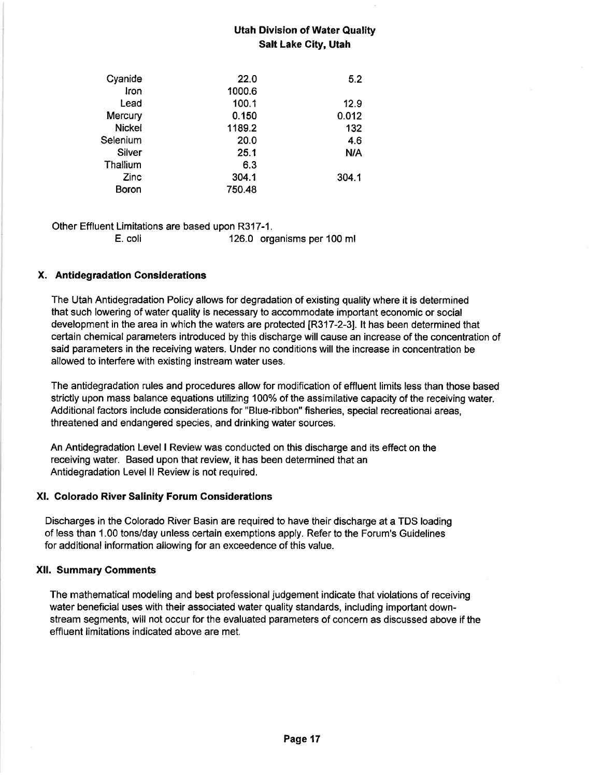| Cyanide       | 22.0   | 5.2   |
|---------------|--------|-------|
| Iron          | 1000.6 |       |
| Lead          | 100.1  | 12.9  |
| Mercury       | 0.150  | 0.012 |
| <b>Nickel</b> | 1189.2 | 132   |
| Selenium      | 20.0   | 4.6   |
| Silver        | 25.1   | N/A   |
| Thallium      | 6.3    |       |
| Zinc          | 304.1  | 304.1 |
| Boron         | 750.48 |       |

Other Effluent Limitations are based upon R317-1.

E. coli 126.0 organisms per 100 ml

## X. Antidegradation Considerations

The Utah Antidegradation Policy allows for degradation of existing quality where it is determined that such lowering of water quality is necessary to accommodate important economic or social development in the area in which the waters are protected [R317-2-3]. lt has been determined that certain chemical parameters introduced by this discharge will cause an increase of the concentration of said parameters in the receiving waters. Under no conditions will the increase in concentration be allowed to interfere with existíng instream water uses.

The antidegradation rules and procedures allow for modifícation of effluent limíts less than those based strictly upon mass balance equations utilizing 100% of the assimilative capacity of the receivíng water. Additional factors include considerations for "Blue-ribbon" fisheries, special recreational areas, threatened and endangered species, and drinking water sources.

An Antidegradation Level I Review was conducted on this discharge and its effect on the receiving water. Based upon that review, it has been determined that an Antidegradatíon Level ll Review is not required.

#### Xl. Golorado River Salinity Forum Considerations

Discharges in the Colorado River Basin are required to have their discharge at a TDS loading of less than 1.00 tons/day unless certain exemptions apply. Refer to the Forum's Guidelines for additional information allowing for an exceedence of this value.

#### Xll. Summary Gomments

The mathematical modeling and best professional judgement indicate that violations of receiving water beneficial uses with their associated water quality standards, including ímportant downstream segments, will not occur for the evaluated parameters of concern as discussed above if the effluent limitations indicated above are met.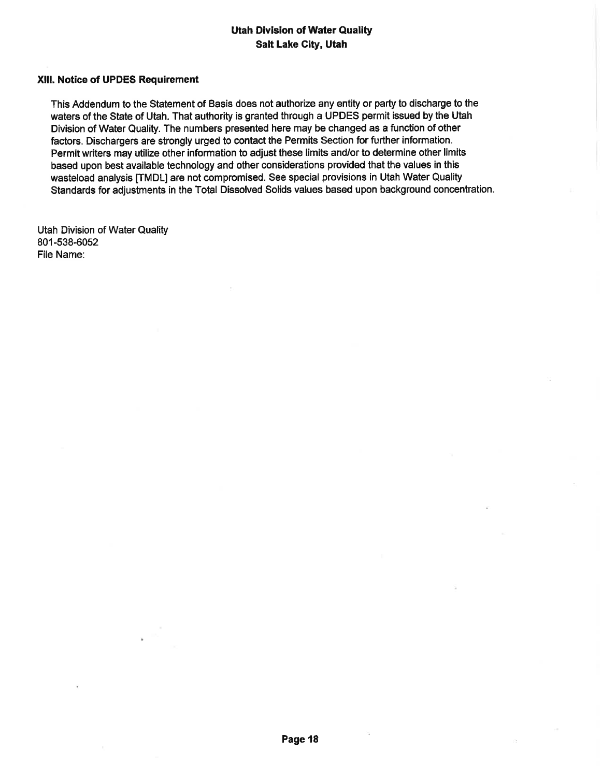#### Xlll. Notice of UPDES Requirement

This Addendum to the Statement of Basis does not authorize any entity or party to discharge to the waters of the State of Utah. That authority is granted through a UPDES permit issued by the Utah Division of Water Quality. The numbers presented here may be changed as a function of other factors, Dischargers are strongly urged to contact the Permits Section for further information. Permit writers may utilize other information to adjust these limits and/or to determine other limits based upon best available technology and other considerations provided that the values in this wasteload analysis ITMDL] are not compromísed. See special provisions in Utah Water Quality Standards for adjustments in the Total Dissolved Solids values based upon background concentration.

Utah Division of Water Quality 801-538-6052 File Name: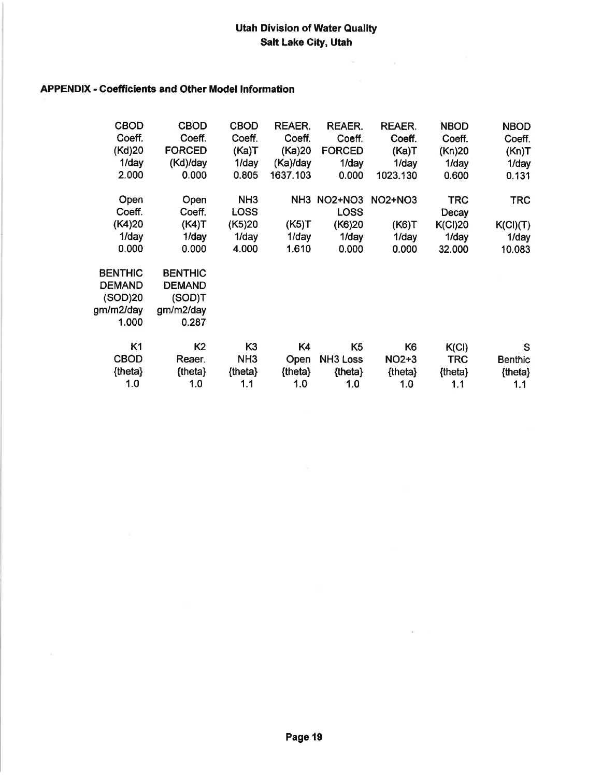$\mathbf{x} = -\mathbf{y}$  .

## APPENDIX - Goefficients and Other Model lnformation

| <b>CBOD</b>                                                      | <b>CBOD</b>                                                     | <b>CBOD</b>                                                | REAER.                     | <b>REAER.</b>                                          | <b>REAER.</b>                             | <b>NBOD</b>                                              | <b>NBOD</b>                               |
|------------------------------------------------------------------|-----------------------------------------------------------------|------------------------------------------------------------|----------------------------|--------------------------------------------------------|-------------------------------------------|----------------------------------------------------------|-------------------------------------------|
| Coeff.                                                           | Coeff.                                                          | Coeff.                                                     | Coeff.                     | Coeff.                                                 | Coeff.                                    | Coeff.                                                   | Coeff.                                    |
| (Kd)20                                                           | <b>FORCED</b>                                                   | (Ka)T                                                      | (Ka)20                     | <b>FORCED</b>                                          | (Ka)T                                     | (Kn)20                                                   | (Kn)T                                     |
| 1/day                                                            | (Kd)/day                                                        | 1/day                                                      | (Ka)/day                   | $1$ /day                                               | 1/day                                     | 1/day                                                    | $1$ /day                                  |
| 2.000                                                            | 0.000                                                           | 0.805                                                      | 1637.103                   | 0.000                                                  | 1023.130                                  | 0.600                                                    | 0.131                                     |
| Open<br>Coeff.<br>(K4)20<br>1/day<br>0.000                       | Open<br>Coeff.<br>(K4)T<br>1/day<br>0.000                       | NH <sub>3</sub><br><b>LOSS</b><br>(K5)20<br>1/day<br>4.000 | (K5)T<br>$1$ /day<br>1.610 | NH3 NO2+NO3<br><b>LOSS</b><br>(K6)20<br>1/day<br>0.000 | <b>NO2+NO3</b><br>(K6)T<br>1/day<br>0.000 | <b>TRC</b><br>Decay<br><b>K(Cl)20</b><br>1/day<br>32.000 | <b>TRC</b><br>K(Cl)(T)<br>1/day<br>10.083 |
| <b>BENTHIC</b><br><b>DEMAND</b><br>(SOD)20<br>gm/m2/day<br>1.000 | <b>BENTHIC</b><br><b>DEMAND</b><br>(SOD)T<br>gm/m2/day<br>0.287 |                                                            |                            |                                                        |                                           |                                                          |                                           |
| K <sub>1</sub>                                                   | K <sub>2</sub>                                                  | K <sub>3</sub>                                             | K4                         | K5                                                     | K <sub>6</sub>                            | K(Cl)                                                    | S                                         |
| <b>CBOD</b>                                                      | Reaer.                                                          | NH <sub>3</sub>                                            | <b>Open</b>                | <b>NH3 Loss</b>                                        | <b>NO2+3</b>                              | <b>TRC</b>                                               | <b>Benthic</b>                            |
| {theta}                                                          | {theta}                                                         | ${theta}$                                                  | {theta}                    | {theta}                                                | {theta}                                   | {theta}                                                  | {theta}                                   |
| 1.0                                                              | 1.0                                                             | 1.1                                                        | 1.0                        | 1.0                                                    | 1.0                                       | 1.1                                                      | 1.1                                       |

 $\widetilde{\mathbf{h}}$